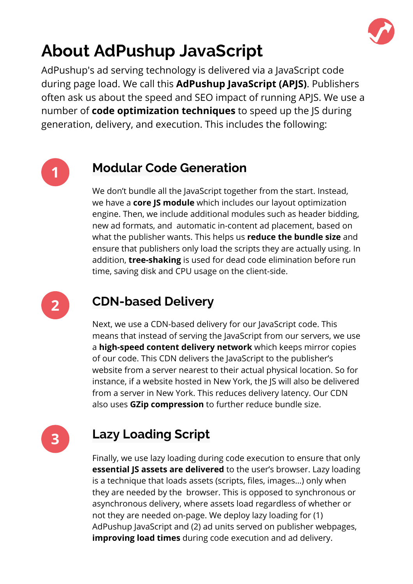

# **About AdPushup JavaScript**

AdPushup's ad serving technology is delivered via a JavaScript code during page load. We call this **AdPushup JavaScript (APJS)**. Publishers often ask us about the speed and SEO impact of running APJS. We use a number of **code optimization techniques** to speed up the JS during generation, delivery, and execution. This includes the following:



#### **Modular Code Generation**

We don't bundle all the JavaScript together from the start. Instead, we have a **core JS module** which includes our layout optimization engine. Then, we include additional modules such as header bidding, new ad formats, and automatic in-content ad placement, based on what the publisher wants. This helps us **reduce the bundle size** and ensure that publishers only load the scripts they are actually using. In addition, **tree-shaking** is used for dead code elimination before run time, saving disk and CPU usage on the client-side.



#### **CDN-based Delivery**

Next, we use a CDN-based delivery for our JavaScript code. This means that instead of serving the JavaScript from our servers, we use a **high-speed content delivery network** which keeps mirror copies of our code. This CDN delivers the JavaScript to the publisher's website from a server nearest to their actual physical location. So for instance, if a website hosted in New York, the JS will also be delivered from a server in New York. This reduces delivery latency. Our CDN also uses **GZip compression** to further reduce bundle size.

**3**

### **Lazy Loading Script**

Finally, we use lazy loading during code execution to ensure that only **essential JS assets are delivered** to the user's browser. Lazy loading is a technique that loads assets (scripts, files, images…) only when they are needed by the browser. This is opposed to synchronous or asynchronous delivery, where assets load regardless of whether or not they are needed on-page. We deploy lazy loading for (1) AdPushup JavaScript and (2) ad units served on publisher webpages, **improving load times** during code execution and ad delivery.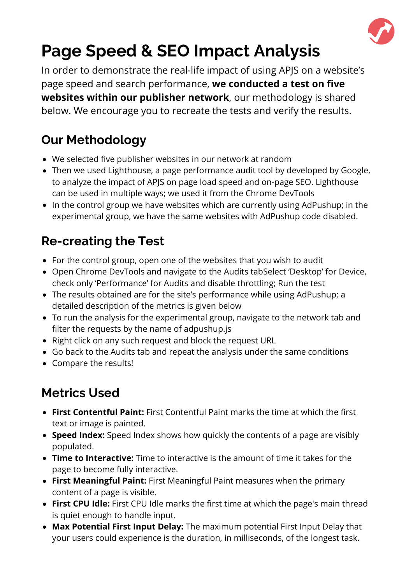

# **Page Speed & SEO Impact Analysis**

In order to demonstrate the real-life impact of using APJS on a website's page speed and search performance, **we conducted a test on five websites within our publisher network**, our methodology is shared below. We encourage you to recreate the tests and verify the results.

### **Our Methodology**

- We selected five publisher websites in our network at random
- [Then we used Lighthouse, a page performance audit tool by developed by Google,](https://docs.google.com/spreadsheets/d/14LIOI3OpLAtagMUOMTctbqWA0UWkM1NKP8lf_8P5_6Q/edit?usp=sharing) to analyze the impact of APJS on page load speed and on-page SEO. Lighthouse can be used in multiple ways; we used it from the Chrome DevTools
- In the control group we have websites which are currently using AdPushup; in the experimental group, we have the same websites with AdPushup code disabled.

## **Re-creating the Test**

- For the control group, open one of the websites that you wish to audit
- Open Chrome DevTools and navigate to the Audits tabSelect 'Desktop' for Device, check only 'Performance' for Audits and disable throttling; Run the test
- The results obtained are for the site's performance while using AdPushup; a detailed description of the metrics is given below
- To run the analysis for the experimental group, navigate to the network tab and filter the requests by the name of adpushup.js
- Right click on any such request and block the request URL
- Go back to the Audits tab and repeat the analysis under the same conditions
- Compare the results!

## **Metrics Used**

- **First Contentful Paint:** First Contentful Paint marks the time at which the first text or image is painted.
- **Speed Index:** Speed Index shows how quickly the contents of a page are visibly populated.
- **Time to Interactive:** Time to interactive is the amount of time it takes for the page to become fully interactive.
- **First Meaningful Paint:** First Meaningful Paint measures when the primary content of a page is visible.
- **First CPU Idle:** First CPU Idle marks the first time at which the page's main thread is quiet enough to handle input.
- **Max Potential First Input Delay:** The maximum potential First Input Delay that your users could experience is the duration, in milliseconds, of the longest task.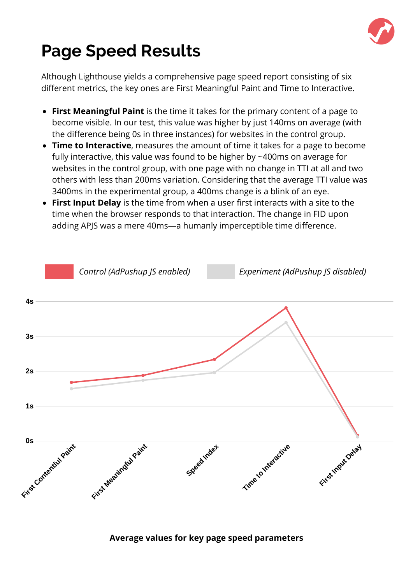

## **Page Speed Results**

Although Lighthouse yields a comprehensive page speed report consisting of six different metrics, the key ones are First Meaningful Paint and Time to Interactive.

- **First Meaningful Paint** is the time it takes for the primary content of a page to become visible. In our test, this value was higher by just 140ms on average (with the difference being 0s in three instances) for websites in the control group.
- **Time to Interactive**, measures the amount of time it takes for a page to become fully interactive, this value was found to be higher by ~400ms on average for websites in the control group, with one page with no change in TTI at all and two others with less than 200ms variation. Considering that the average TTI value was 3400ms in the experimental group, a 400ms change is a blink of an eye.
- **First Input Delay** is the time from when a user first interacts with a site to the time when the browser responds to that interaction. The change in FID upon adding APJS was a mere 40ms—a humanly imperceptible time difference.



#### **Average values for key page speed parameters**